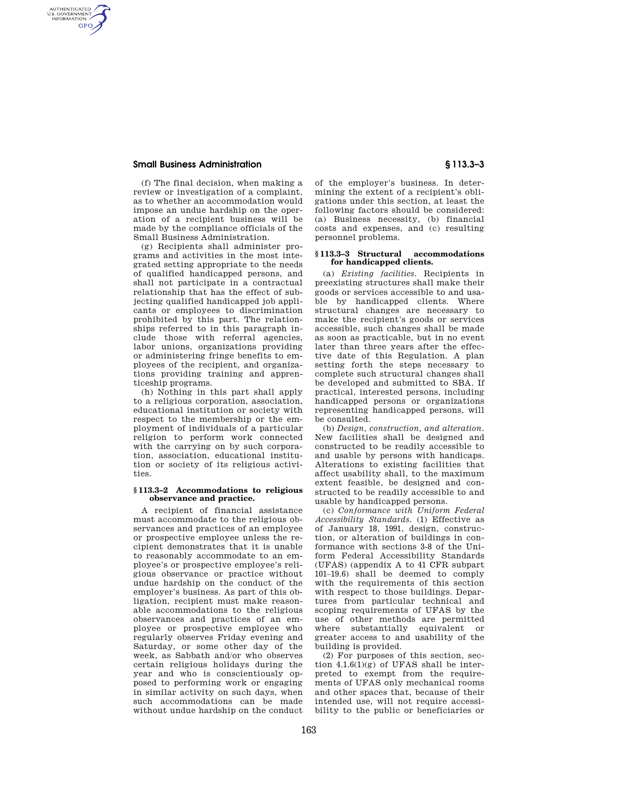# **Small Business Administration § 113.3–3**

AUTHENTICATED<br>U.S. GOVERNMENT<br>INFORMATION **GPO** 

> (f) The final decision, when making a review or investigation of a complaint, as to whether an accommodation would impose an undue hardship on the operation of a recipient business will be made by the compliance officials of the Small Business Administration.

> (g) Recipients shall administer programs and activities in the most integrated setting appropriate to the needs of qualified handicapped persons, and shall not participate in a contractual relationship that has the effect of subjecting qualified handicapped job applicants or employees to discrimination prohibited by this part. The relationships referred to in this paragraph include those with referral agencies, labor unions, organizations providing or administering fringe benefits to employees of the recipient, and organizations providing training and apprenticeship programs.

> (h) Nothing in this part shall apply to a religious corporation, association, educational institution or society with respect to the membership or the employment of individuals of a particular religion to perform work connected with the carrying on by such corporation, association, educational institution or society of its religious activities.

## **§ 113.3–2 Accommodations to religious observance and practice.**

A recipient of financial assistance must accommodate to the religious observances and practices of an employee or prospective employee unless the recipient demonstrates that it is unable to reasonably accommodate to an employee's or prospective employee's religious observance or practice without undue hardship on the conduct of the employer's business. As part of this obligation, recipient must make reasonable accommodations to the religious observances and practices of an employee or prospective employee who regularly observes Friday evening and Saturday, or some other day of the week, as Sabbath and/or who observes certain religious holidays during the year and who is conscientiously opposed to performing work or engaging in similar activity on such days, when such accommodations can be made without undue hardship on the conduct

of the employer's business. In determining the extent of a recipient's obligations under this section, at least the following factors should be considered: (a) Business necessity, (b) financial costs and expenses, and (c) resulting personnel problems.

#### **§ 113.3–3 Structural accommodations for handicapped clients.**

(a) *Existing facilities.* Recipients in preexisting structures shall make their goods or services accessible to and usable by handicapped clients. Where structural changes are necessary to make the recipient's goods or services accessible, such changes shall be made as soon as practicable, but in no event later than three years after the effective date of this Regulation. A plan setting forth the steps necessary to complete such structural changes shall be developed and submitted to SBA. If practical, interested persons, including handicapped persons or organizations representing handicapped persons, will be consulted.

(b) *Design, construction, and alteration.*  New facilities shall be designed and constructed to be readily accessible to and usable by persons with handicaps. Alterations to existing facilities that affect usability shall, to the maximum extent feasible, be designed and constructed to be readily accessible to and usable by handicapped persons.

(c) *Conformance with Uniform Federal Accessibility Standards.* (1) Effective as of January 18, 1991, design, construction, or alteration of buildings in conformance with sections 3-8 of the Uniform Federal Accessibility Standards (UFAS) (appendix A to 41 CFR subpart 101–19.6) shall be deemed to comply with the requirements of this section with respect to those buildings. Departures from particular technical and scoping requirements of UFAS by the use of other methods are permitted where substantially equivalent or greater access to and usability of the building is provided.

(2) For purposes of this section, section  $4.1.6(1)(g)$  of UFAS shall be interpreted to exempt from the requirements of UFAS only mechanical rooms and other spaces that, because of their intended use, will not require accessibility to the public or beneficiaries or